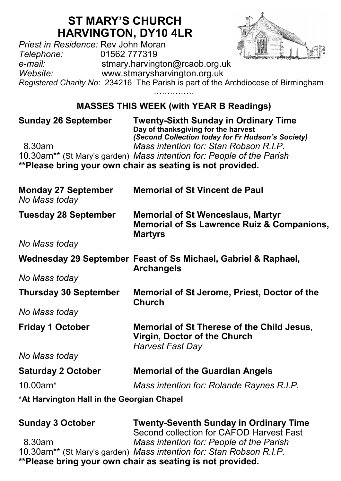## **ST MARY'S CHURCH HARVINGTON, DY10 4LR**

*Priest in Residence:* Rev John Moran *Telephone:* 01562 777319 *e-mail:* stmary.harvington@rcaob.org.uk *Website:* www.stmarysharvington.org.uk *Registered Charity No*: 234216 The Parish is part of the Archdiocese of Birmingham ……………

## **MASSES THIS WEEK (with YEAR B Readings)**

| <b>Sunday 26 September</b>                  | <b>Twenty-Sixth Sunday in Ordinary Time</b><br>Day of thanksgiving for the harvest<br>(Second Collection today for Fr Hudson's Society) |  |
|---------------------------------------------|-----------------------------------------------------------------------------------------------------------------------------------------|--|
| 8.30am                                      | Mass intention for: Stan Robson R.I.P.<br>10.30am** (St Mary's garden) Mass intention for: People of the Parish                         |  |
|                                             | **Please bring your own chair as seating is not provided.                                                                               |  |
| <b>Monday 27 September</b><br>No Mass today | <b>Memorial of St Vincent de Paul</b>                                                                                                   |  |
| <b>Tuesday 28 September</b>                 | <b>Memorial of St Wenceslaus, Martyr</b><br><b>Memorial of Ss Lawrence Ruiz &amp; Companions,</b><br><b>Martyrs</b>                     |  |
| No Mass today                               |                                                                                                                                         |  |
|                                             | Wednesday 29 September Feast of Ss Michael, Gabriel & Raphael,<br><b>Archangels</b>                                                     |  |
| No Mass today                               |                                                                                                                                         |  |
| <b>Thursday 30 September</b>                | Memorial of St Jerome, Priest, Doctor of the<br>Church                                                                                  |  |
| No Mass today                               |                                                                                                                                         |  |
| <b>Friday 1 October</b>                     | Memorial of St Therese of the Child Jesus,<br>Virgin, Doctor of the Church<br><b>Harvest Fast Day</b>                                   |  |
| No Mass today                               |                                                                                                                                         |  |
| <b>Saturday 2 October</b>                   | <b>Memorial of the Guardian Angels</b>                                                                                                  |  |
| $10.00$ am*                                 | Mass intention for: Rolande Raynes R.I.P.                                                                                               |  |
| *At Harvington Hall in the Georgian Chapel  |                                                                                                                                         |  |
| Sunday 3 October                            | Twenty-Seventh Sunday in Ordinary Time                                                                                                  |  |

| <b>Sunday 3 October</b> | <b>Twenty-Seventh Sunday in Ordinary Time</b>                       |
|-------------------------|---------------------------------------------------------------------|
|                         | Second collection for CAFOD Harvest Fast                            |
| 8.30am                  | Mass intention for: People of the Parish                            |
|                         | 10.30am** (St Mary's garden) Mass intention for: Stan Robson R.I.P. |
|                         | **Please bring your own chair as seating is not provided.           |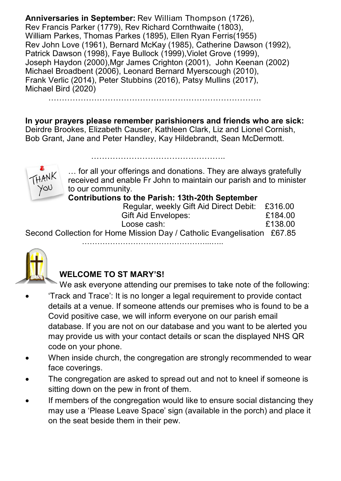**Anniversaries in September:** Rev William Thompson (1726), Rev Francis Parker (1779), Rev Richard Cornthwaite (1803), William Parkes, Thomas Parkes (1895), Ellen Ryan Ferris(1955) Rev John Love (1961), Bernard McKay (1985), Catherine Dawson (1992), Patrick Dawson (1998), Faye Bullock (1999), Violet Grove (1999). Joseph Haydon (2000),Mgr James Crighton (2001), John Keenan (2002) Michael Broadbent (2006), Leonard Bernard Myerscough (2010), Frank Verlic (2014), Peter Stubbins (2016), Patsy Mullins (2017), Michael Bird (2020)

…………………………………………………………………….

**In your prayers please remember parishioners and friends who are sick:**  Deirdre Brookes, Elizabeth Causer, Kathleen Clark, Liz and Lionel Cornish, Bob Grant, Jane and Peter Handley, Kay Hildebrandt, Sean McDermott.

…………………………………………..



… for all your offerings and donations. They are always gratefully received and enable Fr John to maintain our parish and to minister to our community.

**Contributions to the Parish: 13th-20th September**

| Regular, weekly Gift Aid Direct Debit: £316.00 |         |
|------------------------------------------------|---------|
| Gift Aid Envelopes:                            | £184.00 |
| Loose cash:                                    | £138.00 |

Second Collection for Home Mission Day / Catholic Evangelisation £67.85

…………………………………………...…..



## **WELCOME TO ST MARY'S!**

We ask everyone attending our premises to take note of the following: 'Track and Trace': It is no longer a legal requirement to provide contact details at a venue. If someone attends our premises who is found to be a Covid positive case, we will inform everyone on our parish email database. If you are not on our database and you want to be alerted you may provide us with your contact details or scan the displayed NHS QR code on your phone.

- When inside church, the congregation are strongly recommended to wear face coverings.
- The congregation are asked to spread out and not to kneel if someone is sitting down on the pew in front of them.
- If members of the congregation would like to ensure social distancing they may use a 'Please Leave Space' sign (available in the porch) and place it on the seat beside them in their pew.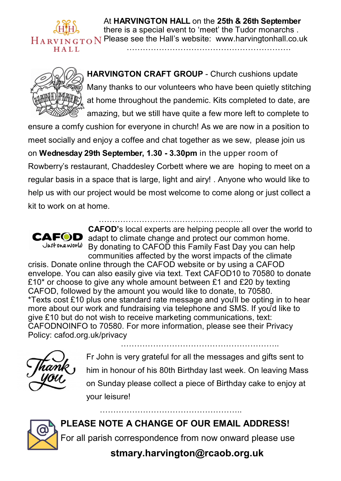

At **HARVINGTON HALL** on the **25th & 26th September**  there is a special event to 'meet' the Tudor monarchs . Please see the Hall's website: [www.harvingtonhall.co.uk](http://www.harvingtonhall.co.uk/)



**HARVINGTON CRAFT GROUP - Church cushions update** Many thanks to our volunteers who have been quietly stitching at home throughout the pandemic. Kits completed to date, are amazing, but we still have quite a few more left to complete to

…………………………………………………….

ensure a comfy cushion for everyone in church! As we are now in a position to meet socially and enjoy a coffee and chat together as we sew, please join us on **Wednesday 29th September, 1.30 - 3.30pm** in the upper room of Rowberry's restaurant, Chaddesley Corbett where we are hoping to meet on a regular basis in a space that is large, light and airy! . Anyone who would like to help us with our project would be most welcome to come along or just collect a kit to work on at home.



**CAFOD'**s local experts are helping people all over the world to CAFOD adapt to climate change and protect our common home. Just one world By donating to CAFOD this Family Fast Day you can help communities affected by the worst impacts of the climate

crisis. Donate online through the CAFOD website or by using a CAFOD envelope. You can also easily give via text. Text CAFOD10 to 70580 to donate £10<sup>\*</sup> or choose to give any whole amount between £1 and £20 by texting CAFOD, followed by the amount you would like to donate, to 70580. \*Texts cost £10 plus one standard rate message and you'll be opting in to hear more about our work and fundraising via telephone and SMS. If you'd like to give £10 but do not wish to receive marketing communications, text: CAFODNOINFO to 70580. For more information, please see their Privacy Policy: cafod.org.uk/privacy



…………………………………………………..

Fr John is very grateful for all the messages and gifts sent to him in honour of his 80th Birthday last week. On leaving Mass on Sunday please collect a piece of Birthday cake to enjoy at your leisure!

**PLEASE NOTE A CHANGE OF OUR EMAIL ADDRESS!** For all parish correspondence from now onward please use **stmary.harvington@rcaob.org.uk**

……………………………………………..